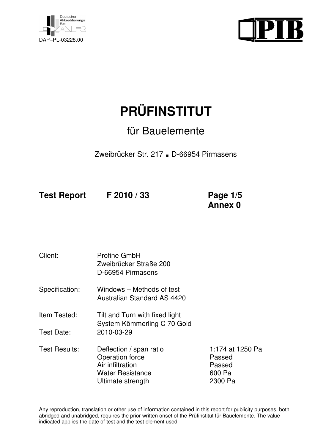



# **PRÜFINSTITUT**

## für Bauelemente

Zweibrücker Str. 217 **.** D-66954 Pirmasens

**Test Report F 2010 / 33 Page 1/5** 

 **Annex 0**

Client: Profine GmbH Zweibrücker Straße 200 D-66954 Pirmasens Specification: Windows – Methods of test Australian Standard AS 4420 Item Tested: Tilt and Turn with fixed light System Kömmerling C 70 Gold Test Date: 2010-03-29 Test Results: Deflection / span ratio 1:174 at 1250 Pa Operation force **Passed** Air infiltration **Passed** Water Resistance 600 Pa Ultimate strength 2300 Pa

Any reproduction, translation or other use of information contained in this report for publicity purposes, both abridged and unabridged, requires the prior written onset of the Prüfinstitut für Bauelemente. The value indicated applies the date of test and the test element used.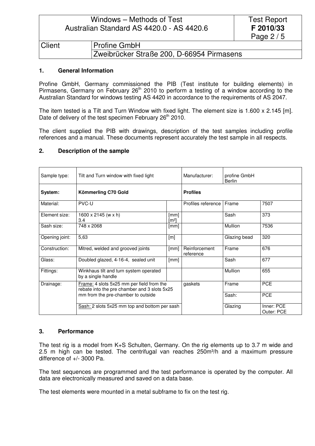|               | Windows – Methods of Test<br><b>Test Report</b>        |            |
|---------------|--------------------------------------------------------|------------|
|               | F 2010/33<br>Australian Standard AS 4420.0 - AS 4420.6 |            |
|               |                                                        | Page $2/5$ |
| <b>Client</b> | <b>Profine GmbH</b>                                    |            |
|               | Zweibrücker Straße 200, D-66954 Pirmasens              |            |

#### **1. General Information**

Profine GmbH, Germany commissioned the PIB (Test institute for building elements) in Pirmasens, Germany on February  $26<sup>th</sup>$  2010 to perform a testing of a window according to the Australian Standard for windows testing AS 4420 in accordance to the requirements of AS 2047.

The item tested is a Tilt and Turn Window with fixed light. The element size is 1.600 x 2.145 [m]. Date of delivery of the test specimen February 26<sup>th</sup> 2010.

The client supplied the PIB with drawings, description of the test samples including profile references and a manual. These documents represent accurately the test sample in all respects.

| Sample type:   | Tilt and Turn window with fixed light                                                                                           | Manufacturer:                                 | profine GmbH<br><b>Berlin</b> |                 |                          |  |
|----------------|---------------------------------------------------------------------------------------------------------------------------------|-----------------------------------------------|-------------------------------|-----------------|--------------------------|--|
| System:        | Kömmerling C70 Gold                                                                                                             |                                               |                               | <b>Profiles</b> |                          |  |
| Material:      | PVC-U                                                                                                                           |                                               | Profiles reference            | Frame           | 7507                     |  |
| Element size:  | $1600 \times 2145$ (w x h)<br>3.4                                                                                               | [mm]<br>[m²]                                  |                               | Sash            | 373                      |  |
| Sash size:     | 748 x 2068                                                                                                                      | [mm]                                          |                               | Mullion         | 7536                     |  |
| Opening joint: | 5,63                                                                                                                            | [m]                                           |                               | Glazing bead    | 320                      |  |
| Construction:  | Mitred, welded and grooved joints                                                                                               | [mm]                                          | Reinforcement<br>reference    | Frame           | 676                      |  |
| Glass:         | Doubled glazed, 4-16-4, sealed unit                                                                                             | [mm]                                          |                               | Sash            | 677                      |  |
| Fittings:      | Winkhaus tilt and turn system operated<br>by a single handle                                                                    |                                               |                               | Mullion         | 655                      |  |
| Drainage:      | Frame: 4 slots 5x25 mm per field from the<br>rebate into the pre chamber and 3 slots 5x25<br>mm from the pre-chamber to outside |                                               | gaskets                       | Frame           | <b>PCE</b>               |  |
|                |                                                                                                                                 |                                               |                               | Sash:           | <b>PCE</b>               |  |
|                |                                                                                                                                 | Sash: 2 slots 5x25 mm top and bottom per sash |                               | Glazing         | Inner: PCE<br>Outer: PCE |  |

#### **2. Description of the sample**

#### **3. Performance**

The test rig is a model from K+S Schulten, Germany. On the rig elements up to 3.7 m wide and 2.5 m high can be tested. The centrifugal van reaches 250m<sup>3</sup>/h and a maximum pressure difference of +/- 3000 Pa.

The test sequences are programmed and the test performance is operated by the computer. All data are electronically measured and saved on a data base.

The test elements were mounted in a metal subframe to fix on the test rig.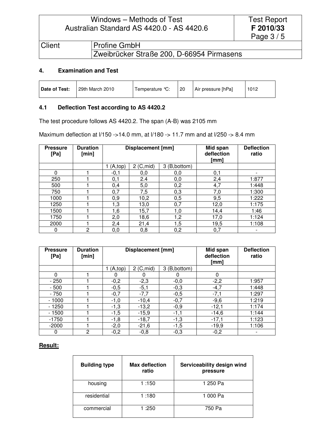### Windows – Methods of Test Australian Standard AS 4420.0 - AS 4420.6

|               |                                           | Page $3/5$ |
|---------------|-------------------------------------------|------------|
| <b>Client</b> | <b>Profine GmbH</b>                       |            |
|               | Zweibrücker Straße 200, D-66954 Pirmasens |            |

Test Report **F 2010/33**

#### **4. Examination and Test**

| 29th March 2010<br>Date of Test:<br>Air pressure [hPa]<br>-20<br>1012<br>Temperature °C: |
|------------------------------------------------------------------------------------------|
|------------------------------------------------------------------------------------------|

#### **4.1 Deflection Test according to AS 4420.2**

The test procedure follows AS 4420.2. The span (A-B) was 2105 mm

Maximum deflection at l/150 ->14.0 mm, at l/180 -> 11.7 mm and at l/250 -> 8.4 mm

| <b>Pressure</b><br>[Pa] | <b>Duration</b><br>[min] | <b>Displacement [mm]</b> |            |               | Mid span<br>deflection<br>[mm] | <b>Deflection</b><br>ratio |
|-------------------------|--------------------------|--------------------------|------------|---------------|--------------------------------|----------------------------|
|                         |                          | (A, top)                 | 2 (C, mid) | 3 (B, bottom) |                                |                            |
| $\Omega$                |                          | $-0,1$                   | 0,0        | 0,0           | 0,1                            |                            |
| 250                     |                          | 0,1                      | 2.4        | 0,0           | 2,4                            | 1:877                      |
| 500                     |                          | 0,4                      | 5,0        | 0,2           | 4,7                            | 1:448                      |
| 750                     |                          | 0,7                      | 7,5        | 0,3           | 7,0                            | 1:300                      |
| 1000                    |                          | 0,9                      | 10,2       | 0,5           | 9,5                            | 1:222                      |
| 1250                    |                          | 1,3                      | 13,0       | 0,7           | 12,0                           | 1:175                      |
| 1500                    |                          | 1,6                      | 15,7       | 1,0           | 14,4                           | 1:46                       |
| 1750                    |                          | 2,0                      | 18,6       | 1,2           | 17,0                           | 1:124                      |
| 2000                    |                          | 2,4                      | 21,4       | 1,5           | 19,5                           | 1:108                      |
| 0                       | 2                        | 0,0                      | 0,8        | 0,2           | 0,7                            |                            |

| <b>Pressure</b><br>[Pa] | <b>Duration</b><br>[min] | <b>Displacement [mm]</b> |            |               | Mid span<br>deflection<br>[mm] | <b>Deflection</b><br>ratio |
|-------------------------|--------------------------|--------------------------|------------|---------------|--------------------------------|----------------------------|
|                         |                          | (A, top)                 | 2 (C, mid) | 3 (B, bottom) |                                |                            |
| $\Omega$                |                          | 0                        |            | 0             | $\Omega$                       |                            |
| $-250$                  |                          | $-0,2$                   | $-2,3$     | $-0,0$        | $-2,2$                         | 1:957                      |
| $-500$                  |                          | $-0,5$                   | $-5,1$     | $-0,3$        | $-4,7$                         | 1:448                      |
| $-750$                  |                          | $-0,7$                   | $-7,7$     | $-0,5$        | $-7,1$                         | 1:297                      |
| $-1000$                 |                          | $-1,0$                   | $-10,4$    | $-0,7$        | $-9,6$                         | 1:219                      |
| - 1250                  |                          | $-1,3$                   | $-13,2$    | $-0,9$        | $-12,1$                        | 1:174                      |
| $-1500$                 |                          | $-1,5$                   | $-15,9$    | $-1,1$        | $-14,6$                        | 1:144                      |
| $-1750$                 |                          | $-1,8$                   | $-18,7$    | $-1,3$        | $-17,1$                        | 1:123                      |
| $-2000$                 |                          | $-2,0$                   | $-21,6$    | $-1,5$        | $-19,9$                        | 1:106                      |
|                         | 2                        | $-0,2$                   | $-0,8$     | $-0,3$        | $-0,2$                         |                            |

#### **Result:**

| <b>Building type</b> | <b>Max deflection</b><br>ratio | Serviceability design wind<br>pressure |
|----------------------|--------------------------------|----------------------------------------|
| housing              | 1:150                          | 1 250 Pa                               |
| residential          | 1:180                          | 1 000 Pa                               |
| commercial           | 1:250                          | 750 Pa                                 |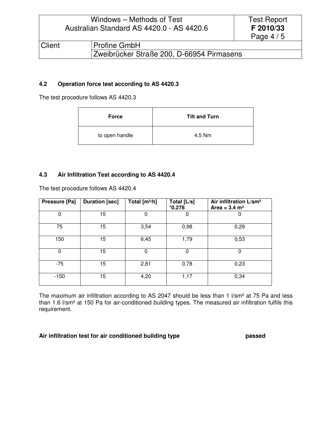|        | Windows – Methods of Test<br>Australian Standard AS 4420.0 - AS 4420.6 | <b>Test Report</b><br>F 2010/33<br>Page $4/5$ |  |
|--------|------------------------------------------------------------------------|-----------------------------------------------|--|
| Client |                                                                        | <b>Profine GmbH</b>                           |  |
|        |                                                                        | Zweibrücker Straße 200, D-66954 Pirmasens     |  |

#### **4.2 Operation force test according to AS 4420.3**

The test procedure follows AS 4420.3

| <b>Force</b>   | <b>Tilt and Turn</b> |
|----------------|----------------------|
| to open handle | 4.5 Nm               |

#### **4.3 Air Infiltration Test according to AS 4420.4**

| Pressure [Pa] | <b>Duration [sec]</b> | Total $[m^3/h]$ | Total [L/s]<br>$*0.278$ | Air infiltration L/sm <sup>2</sup><br>Area = $3.4 \text{ m}^2$ |
|---------------|-----------------------|-----------------|-------------------------|----------------------------------------------------------------|
| 0             | 15                    | 0               | 0                       | 0                                                              |
| 75            | 15                    | 3,54            | 0,98                    | 0,29                                                           |
| 150           | 15                    | 6,45            | 1,79                    | 0,53                                                           |
| 0             | 15                    | 0               | $\Omega$                | 0                                                              |
| $-75$         | 15                    | 2,81            | 0,78                    | 0,23                                                           |
| $-150$        | 15                    | 4,20            | 1,17                    | 0,34                                                           |

The test procedure follows AS 4420.4

The maximum air infiltration according to AS 2047 should be less than 1 l/sm<sup>2</sup> at 75 Pa and less than 1.6 l/sm² at 150 Pa for air-conditioned building types. The measured air infiltration fulfils this requirement.

#### **Air infiltration test for air conditioned building type passed**